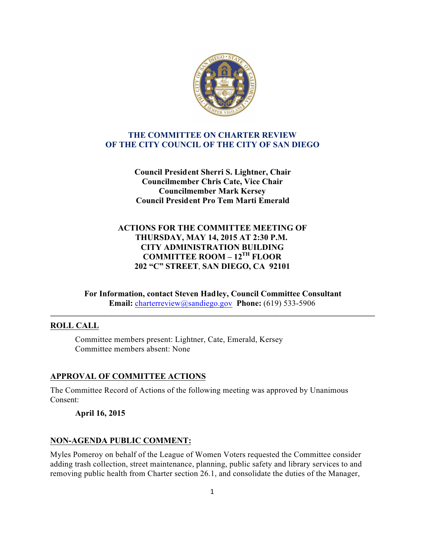

## **THE COMMITTEE ON CHARTER REVIEW OF THE CITY COUNCIL OF THE CITY OF SAN DIEGO**

**Council President Sherri S. Lightner, Chair Councilmember Chris Cate, Vice Chair Councilmember Mark Kersey Council President Pro Tem Marti Emerald**

# **ACTIONS FOR THE COMMITTEE MEETING OF THURSDAY, MAY 14, 2015 AT 2:30 P.M. CITY ADMINISTRATION BUILDING COMMITTEE ROOM – 12TH FLOOR 202 "C" STREET**, **SAN DIEGO, CA 92101**

**For Information, contact Steven Hadley, Council Committee Consultant Email:** charterreview@sandiego.gov **Phone:** (619) 533-5906

**\_\_\_\_\_\_\_\_\_\_\_\_\_\_\_\_\_\_\_\_\_\_\_\_\_\_\_\_\_\_\_\_\_\_\_\_\_\_\_\_\_\_\_\_\_\_\_\_\_\_\_\_\_\_\_\_\_\_\_\_\_\_\_\_\_\_\_\_\_\_\_\_\_\_\_\_\_\_\_\_\_\_\_\_\_**

# **ROLL CALL**

Committee members present: Lightner, Cate, Emerald, Kersey Committee members absent: None

# **APPROVAL OF COMMITTEE ACTIONS**

The Committee Record of Actions of the following meeting was approved by Unanimous Consent:

### **April 16, 2015**

### **NON-AGENDA PUBLIC COMMENT:**

Myles Pomeroy on behalf of the League of Women Voters requested the Committee consider adding trash collection, street maintenance, planning, public safety and library services to and removing public health from Charter section 26.1, and consolidate the duties of the Manager,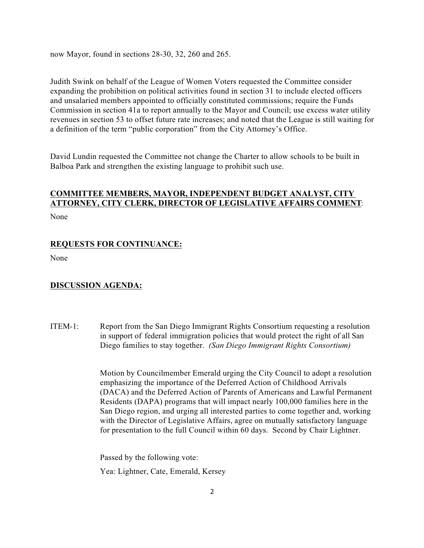now Mayor, found in sections 28-30, 32, 260 and 265.

Judith Swink on behalf of the League of Women Voters requested the Committee consider expanding the prohibition on political activities found in section 31 to include elected officers and unsalaried members appointed to officially constituted commissions; require the Funds Commission in section 41a to report annually to the Mayor and Council; use excess water utility revenues in section 53 to offset future rate increases; and noted that the League is still waiting for a definition of the term "public corporation" from the City Attorney's Office.

David Lundin requested the Committee not change the Charter to allow schools to be built in Balboa Park and strengthen the existing language to prohibit such use.

### **COMMITTEE MEMBERS, MAYOR, INDEPENDENT BUDGET ANALYST, CITY ATTORNEY, CITY CLERK, DIRECTOR OF LEGISLATIVE AFFAIRS COMMENT**:

None

#### **REQUESTS FOR CONTINUANCE:**

None

#### **DISCUSSION AGENDA:**

ITEM-1: Report from the San Diego Immigrant Rights Consortium requesting a resolution in support of federal immigration policies that would protect the right of all San Diego families to stay together. *(San Diego Immigrant Rights Consortium)*

> Motion by Councilmember Emerald urging the City Council to adopt a resolution emphasizing the importance of the Deferred Action of Childhood Arrivals (DACA) and the Deferred Action of Parents of Americans and Lawful Permanent Residents (DAPA) programs that will impact nearly 100,000 families here in the San Diego region, and urging all interested parties to come together and, working with the Director of Legislative Affairs, agree on mutually satisfactory language for presentation to the full Council within 60 days. Second by Chair Lightner.

 Passed by the following vote: Yea: Lightner, Cate, Emerald, Kersey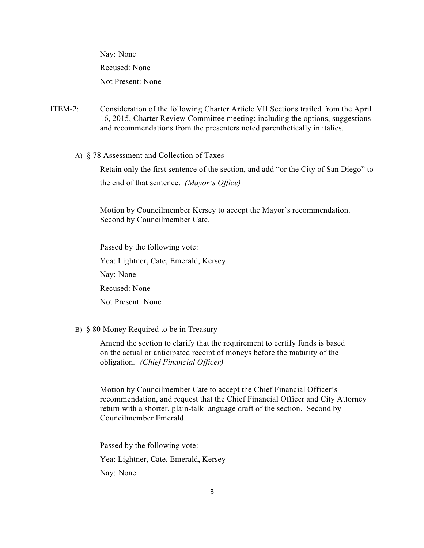Nay: None Recused: None Not Present: None

- ITEM-2: Consideration of the following Charter Article VII Sections trailed from the April 16, 2015, Charter Review Committee meeting; including the options, suggestions and recommendations from the presenters noted parenthetically in italics.
	- A) § 78 Assessment and Collection of Taxes

Retain only the first sentence of the section, and add "or the City of San Diego" to the end of that sentence. *(Mayor's Office)*

Motion by Councilmember Kersey to accept the Mayor's recommendation. Second by Councilmember Cate.

 Passed by the following vote: Yea: Lightner, Cate, Emerald, Kersey Nay: None Recused: None Not Present: None

B) § 80 Money Required to be in Treasury

 Amend the section to clarify that the requirement to certify funds is based on the actual or anticipated receipt of moneys before the maturity of the obligation. *(Chief Financial Officer)*

Motion by Councilmember Cate to accept the Chief Financial Officer's recommendation, and request that the Chief Financial Officer and City Attorney return with a shorter, plain-talk language draft of the section. Second by Councilmember Emerald.

 Passed by the following vote: Yea: Lightner, Cate, Emerald, Kersey Nay: None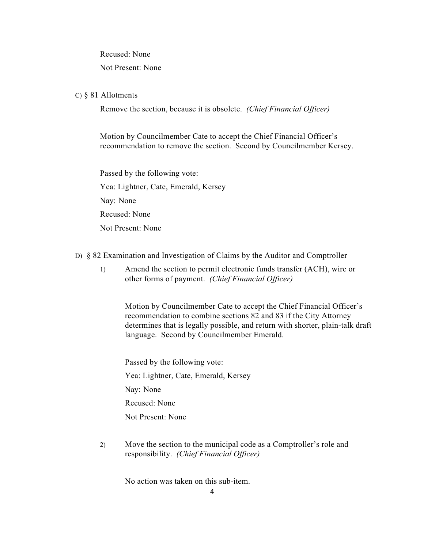Recused: None

Not Present: None

### C) § 81 Allotments

Remove the section, because it is obsolete. *(Chief Financial Officer)*

Motion by Councilmember Cate to accept the Chief Financial Officer's recommendation to remove the section. Second by Councilmember Kersey.

 Passed by the following vote: Yea: Lightner, Cate, Emerald, Kersey Nay: None Recused: None Not Present: None

D) § 82 Examination and Investigation of Claims by the Auditor and Comptroller

 1) Amend the section to permit electronic funds transfer (ACH), wire or other forms of payment. *(Chief Financial Officer)*

Motion by Councilmember Cate to accept the Chief Financial Officer's recommendation to combine sections 82 and 83 if the City Attorney determines that is legally possible, and return with shorter, plain-talk draft language. Second by Councilmember Emerald.

 Passed by the following vote: Yea: Lightner, Cate, Emerald, Kersey Nay: None Recused: None Not Present: None

2) Move the section to the municipal code as a Comptroller's role and responsibility. *(Chief Financial Officer)*

No action was taken on this sub-item.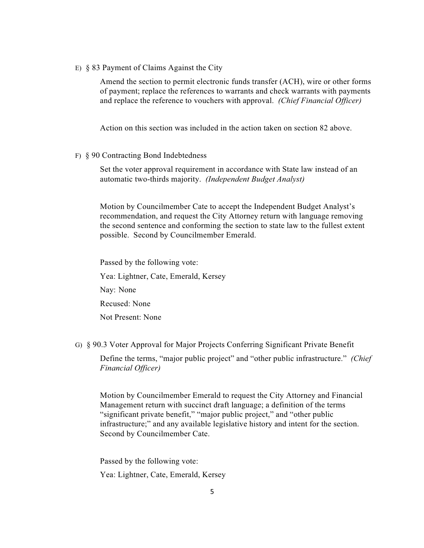E) § 83 Payment of Claims Against the City

Amend the section to permit electronic funds transfer (ACH), wire or other forms of payment; replace the references to warrants and check warrants with payments and replace the reference to vouchers with approval. *(Chief Financial Officer)*

Action on this section was included in the action taken on section 82 above.

F) § 90 Contracting Bond Indebtedness

Set the voter approval requirement in accordance with State law instead of an automatic two-thirds majority. *(Independent Budget Analyst)*

Motion by Councilmember Cate to accept the Independent Budget Analyst's recommendation, and request the City Attorney return with language removing the second sentence and conforming the section to state law to the fullest extent possible. Second by Councilmember Emerald.

 Passed by the following vote: Yea: Lightner, Cate, Emerald, Kersey Nay: None Recused: None Not Present: None

G) § 90.3 Voter Approval for Major Projects Conferring Significant Private Benefit

Define the terms, "major public project" and "other public infrastructure." *(Chief Financial Officer)*

Motion by Councilmember Emerald to request the City Attorney and Financial Management return with succinct draft language; a definition of the terms "significant private benefit," "major public project," and "other public infrastructure;" and any available legislative history and intent for the section. Second by Councilmember Cate.

 Passed by the following vote: Yea: Lightner, Cate, Emerald, Kersey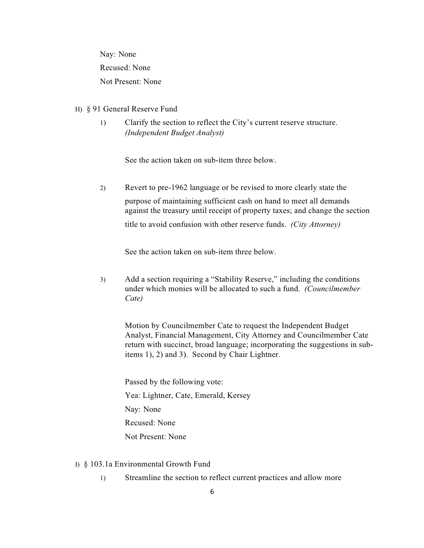Nay: None Recused: None Not Present: None

#### H) § 91 General Reserve Fund

1) Clarify the section to reflect the City's current reserve structure. *(Independent Budget Analyst)*

See the action taken on sub-item three below.

2) Revert to pre-1962 language or be revised to more clearly state the

purpose of maintaining sufficient cash on hand to meet all demands against the treasury until receipt of property taxes; and change the section title to avoid confusion with other reserve funds. *(City Attorney)*

See the action taken on sub-item three below.

3) Add a section requiring a "Stability Reserve," including the conditions under which monies will be allocated to such a fund. *(Councilmember Cate)*

Motion by Councilmember Cate to request the Independent Budget Analyst, Financial Management, City Attorney and Councilmember Cate return with succinct, broad language; incorporating the suggestions in subitems 1), 2) and 3). Second by Chair Lightner.

 Passed by the following vote: Yea: Lightner, Cate, Emerald, Kersey Nay: None Recused: None Not Present: None

- I) § 103.1a Environmental Growth Fund
	- 1) Streamline the section to reflect current practices and allow more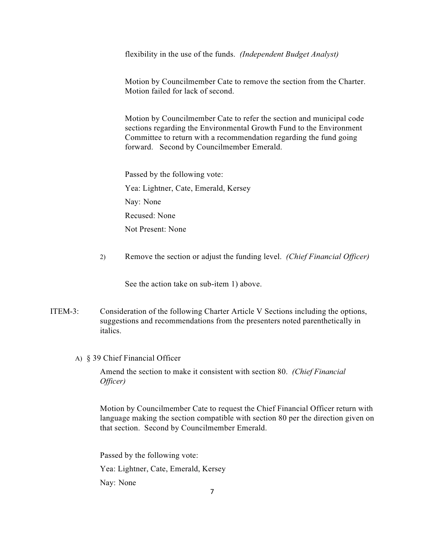flexibility in the use of the funds. *(Independent Budget Analyst)*

Motion by Councilmember Cate to remove the section from the Charter. Motion failed for lack of second.

Motion by Councilmember Cate to refer the section and municipal code sections regarding the Environmental Growth Fund to the Environment Committee to return with a recommendation regarding the fund going forward. Second by Councilmember Emerald.

 Passed by the following vote: Yea: Lightner, Cate, Emerald, Kersey Nay: None Recused: None Not Present: None

2) Remove the section or adjust the funding level. *(Chief Financial Officer)*

See the action take on sub-item 1) above.

- ITEM-3: Consideration of the following Charter Article V Sections including the options, suggestions and recommendations from the presenters noted parenthetically in italics.
	- A) § 39 Chief Financial Officer

Amend the section to make it consistent with section 80. *(Chief Financial Officer)*

Motion by Councilmember Cate to request the Chief Financial Officer return with language making the section compatible with section 80 per the direction given on that section. Second by Councilmember Emerald.

 Passed by the following vote: Yea: Lightner, Cate, Emerald, Kersey Nay: None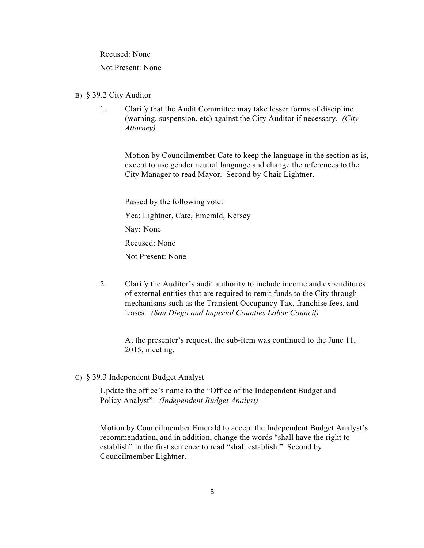Recused: None

Not Present: None

- B) § 39.2 City Auditor
	- 1. Clarify that the Audit Committee may take lesser forms of discipline (warning, suspension, etc) against the City Auditor if necessary*. (City Attorney)*

Motion by Councilmember Cate to keep the language in the section as is, except to use gender neutral language and change the references to the City Manager to read Mayor. Second by Chair Lightner.

 Passed by the following vote: Yea: Lightner, Cate, Emerald, Kersey Nay: None Recused: None Not Present: None

2. Clarify the Auditor's audit authority to include income and expenditures of external entities that are required to remit funds to the City through mechanisms such as the Transient Occupancy Tax, franchise fees, and leases. *(San Diego and Imperial Counties Labor Council)*

At the presenter's request, the sub-item was continued to the June 11, 2015, meeting.

C) § 39.3 Independent Budget Analyst

Update the office's name to the "Office of the Independent Budget and Policy Analyst". *(Independent Budget Analyst)*

Motion by Councilmember Emerald to accept the Independent Budget Analyst's recommendation, and in addition, change the words "shall have the right to establish" in the first sentence to read "shall establish." Second by Councilmember Lightner.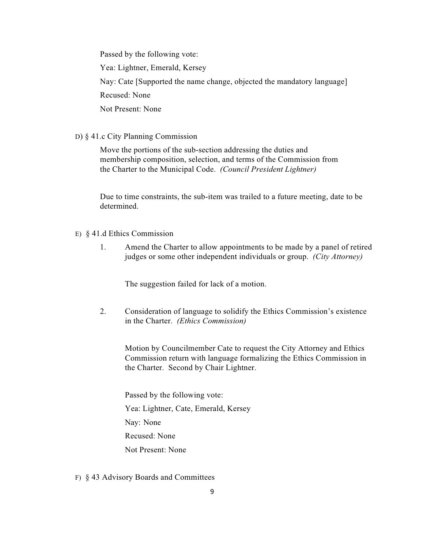Passed by the following vote:

Yea: Lightner, Emerald, Kersey

Nay: Cate [Supported the name change, objected the mandatory language]

Recused: None

Not Present: None

### D) § 41.c City Planning Commission

Move the portions of the sub-section addressing the duties and membership composition, selection, and terms of the Commission from the Charter to the Municipal Code. *(Council President Lightner)*

Due to time constraints, the sub-item was trailed to a future meeting, date to be determined.

- E) § 41.d Ethics Commission
	- 1. Amend the Charter to allow appointments to be made by a panel of retired judges or some other independent individuals or group. *(City Attorney)*

The suggestion failed for lack of a motion.

2. Consideration of language to solidify the Ethics Commission's existence in the Charter. *(Ethics Commission)*

Motion by Councilmember Cate to request the City Attorney and Ethics Commission return with language formalizing the Ethics Commission in the Charter. Second by Chair Lightner.

 Passed by the following vote: Yea: Lightner, Cate, Emerald, Kersey Nay: None Recused: None Not Present: None

F) § 43 Advisory Boards and Committees